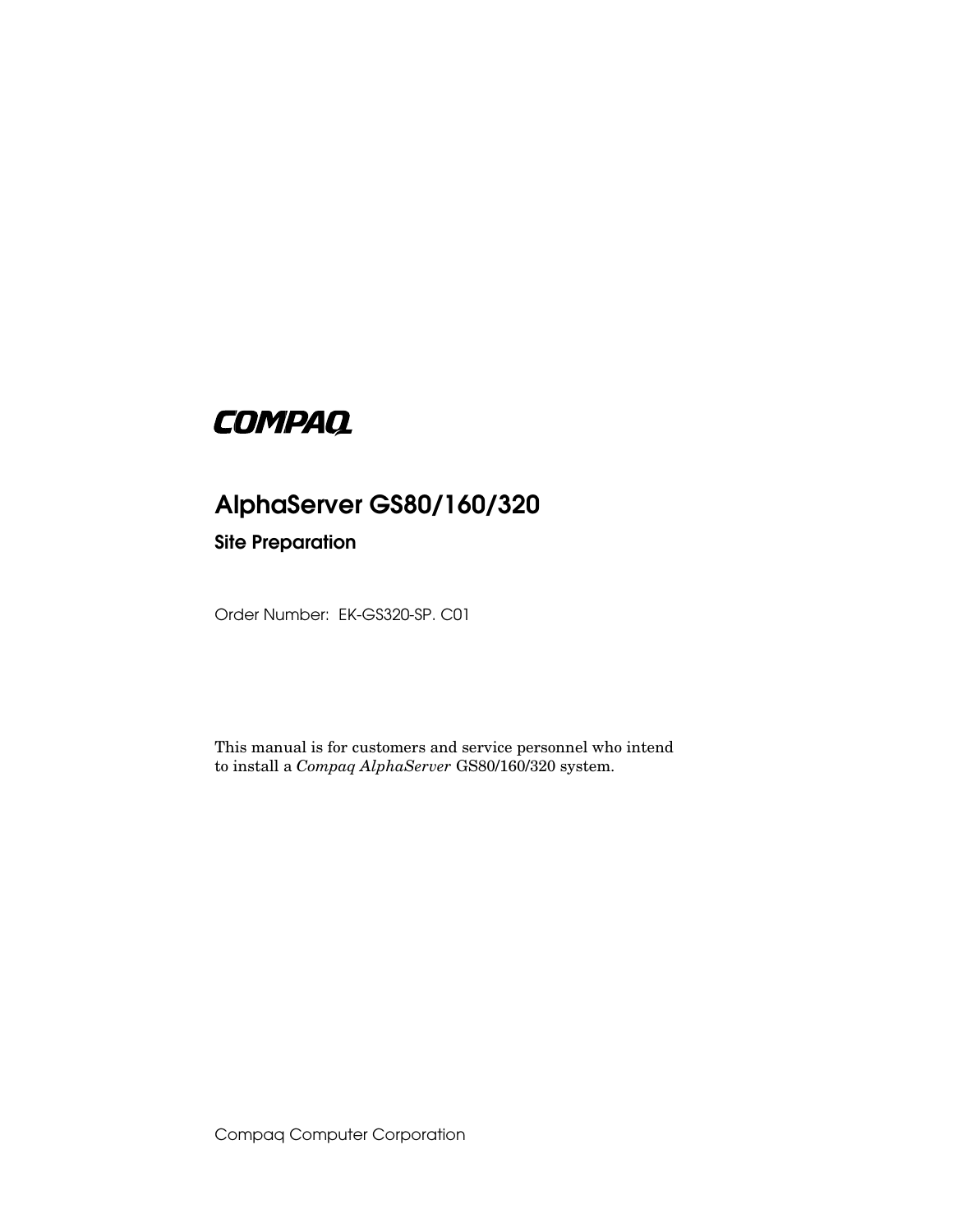# **COMPAQ**

# **AlphaServer GS80/160/320**

## **Site Preparation**

Order Number: EK-GS320-SP. C01

This manual is for customers and service personnel who intend to install a *Compaq AlphaServer* GS80/160/320 system.

Compaq Computer Corporation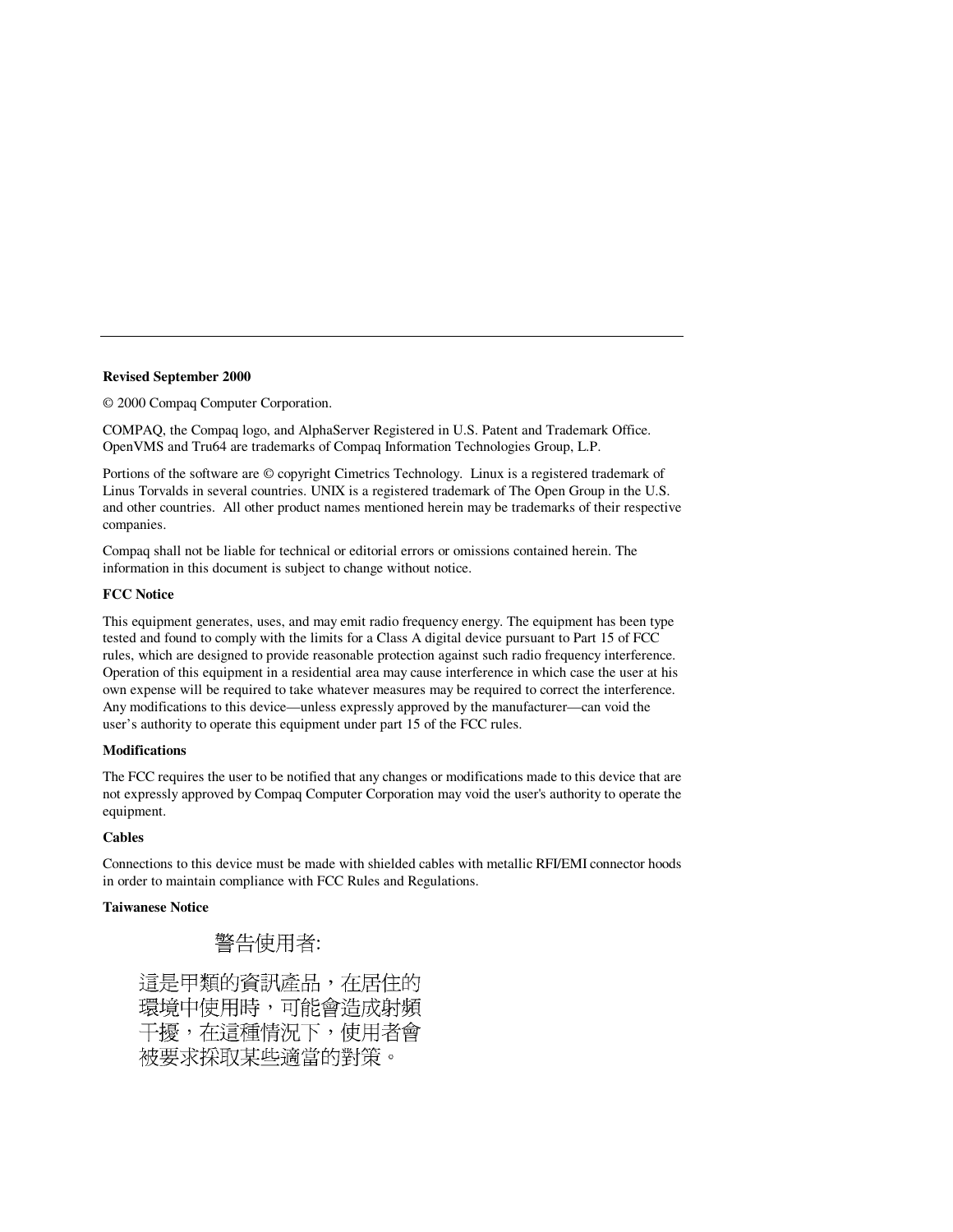#### **Revised September 2000**

© 2000 Compaq Computer Corporation.

COMPAQ, the Compaq logo, and AlphaServer Registered in U.S. Patent and Trademark Office. OpenVMS and Tru64 are trademarks of Compaq Information Technologies Group, L.P.

Portions of the software are © copyright Cimetrics Technology. Linux is a registered trademark of Linus Torvalds in several countries. UNIX is a registered trademark of The Open Group in the U.S. and other countries. All other product names mentioned herein may be trademarks of their respective companies.

Compaq shall not be liable for technical or editorial errors or omissions contained herein. The information in this document is subject to change without notice.

### **FCC Notice**

This equipment generates, uses, and may emit radio frequency energy. The equipment has been type tested and found to comply with the limits for a Class A digital device pursuant to Part 15 of FCC rules, which are designed to provide reasonable protection against such radio frequency interference. Operation of this equipment in a residential area may cause interference in which case the user at his own expense will be required to take whatever measures may be required to correct the interference. Any modifications to this device—unless expressly approved by the manufacturer—can void the user's authority to operate this equipment under part 15 of the FCC rules.

#### **Modifications**

The FCC requires the user to be notified that any changes or modifications made to this device that are not expressly approved by Compaq Computer Corporation may void the user's authority to operate the equipment.

### **Cables**

Connections to this device must be made with shielded cables with metallic RFI/EMI connector hoods in order to maintain compliance with FCC Rules and Regulations.

### **Taiwanese Notice**

# 警告使用者:

這是甲類的資訊產品,在居住的 環境中使用時,可能會造成射頻 干擾,在這種情況下,使用者會 被要求採取某些適當的對策。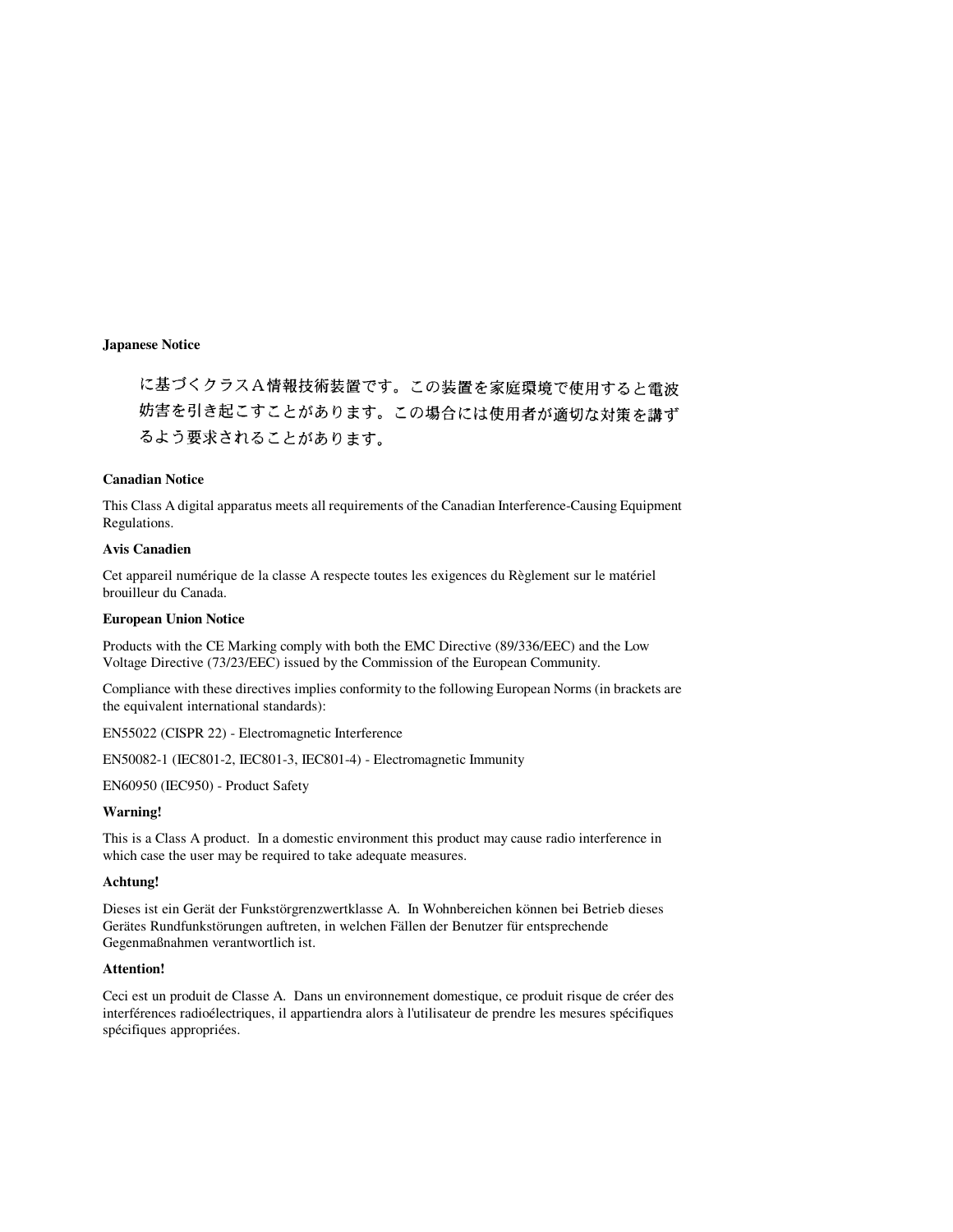に基づくクラスA情報技術装置です。この装置を家庭環境で使用すると電波 妨害を引き起こすことがあります。この場合には使用者が適切な対策を講ず るよう要求されることがあります。

### **Canadian Notice**

This Class A digital apparatus meets all requirements of the Canadian Interference-Causing Equipment Regulations.

### **Avis Canadien**

Cet appareil numérique de la classe A respecte toutes les exigences du Règlement sur le matériel brouilleur du Canada.

### **European Union Notice**

Products with the CE Marking comply with both the EMC Directive (89/336/EEC) and the Low Voltage Directive (73/23/EEC) issued by the Commission of the European Community.

Compliance with these directives implies conformity to the following European Norms (in brackets are the equivalent international standards):

EN55022 (CISPR 22) - Electromagnetic Interference

EN50082-1 (IEC801-2, IEC801-3, IEC801-4) - Electromagnetic Immunity

EN60950 (IEC950) - Product Safety

#### **Warning!**

This is a Class A product. In a domestic environment this product may cause radio interference in which case the user may be required to take adequate measures.

### **Achtung!**

Dieses ist ein Gerät der Funkstörgrenzwertklasse A. In Wohnbereichen können bei Betrieb dieses Gerätes Rundfunkstörungen auftreten, in welchen Fällen der Benutzer für entsprechende Gegenmaßnahmen verantwortlich ist.

#### **Attention!**

Ceci est un produit de Classe A. Dans un environnement domestique, ce produit risque de créer des interférences radioélectriques, il appartiendra alors à l'utilisateur de prendre les mesures spécifiques spécifiques appropriées.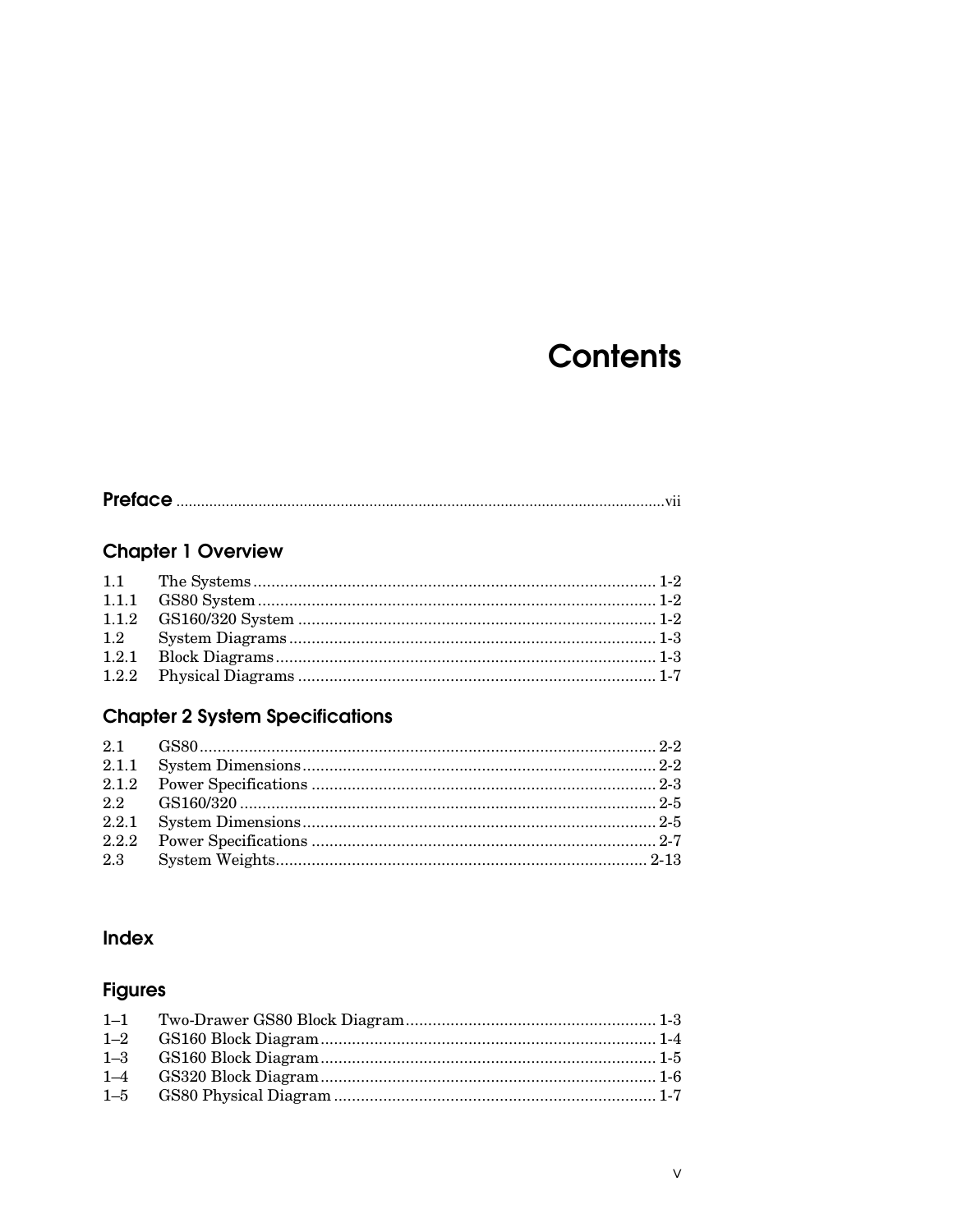# **Contents**

|--|--|

# **Chapter 1 Overview**

| 1.2 |  |
|-----|--|
|     |  |
|     |  |

# **Chapter 2 System Specifications**

| 2.3 |  |
|-----|--|
|     |  |

## Index

# **Figures**

| $1 - 2$ |  |
|---------|--|
| $1 - 3$ |  |
| $1 - 4$ |  |
| $1 - 5$ |  |
|         |  |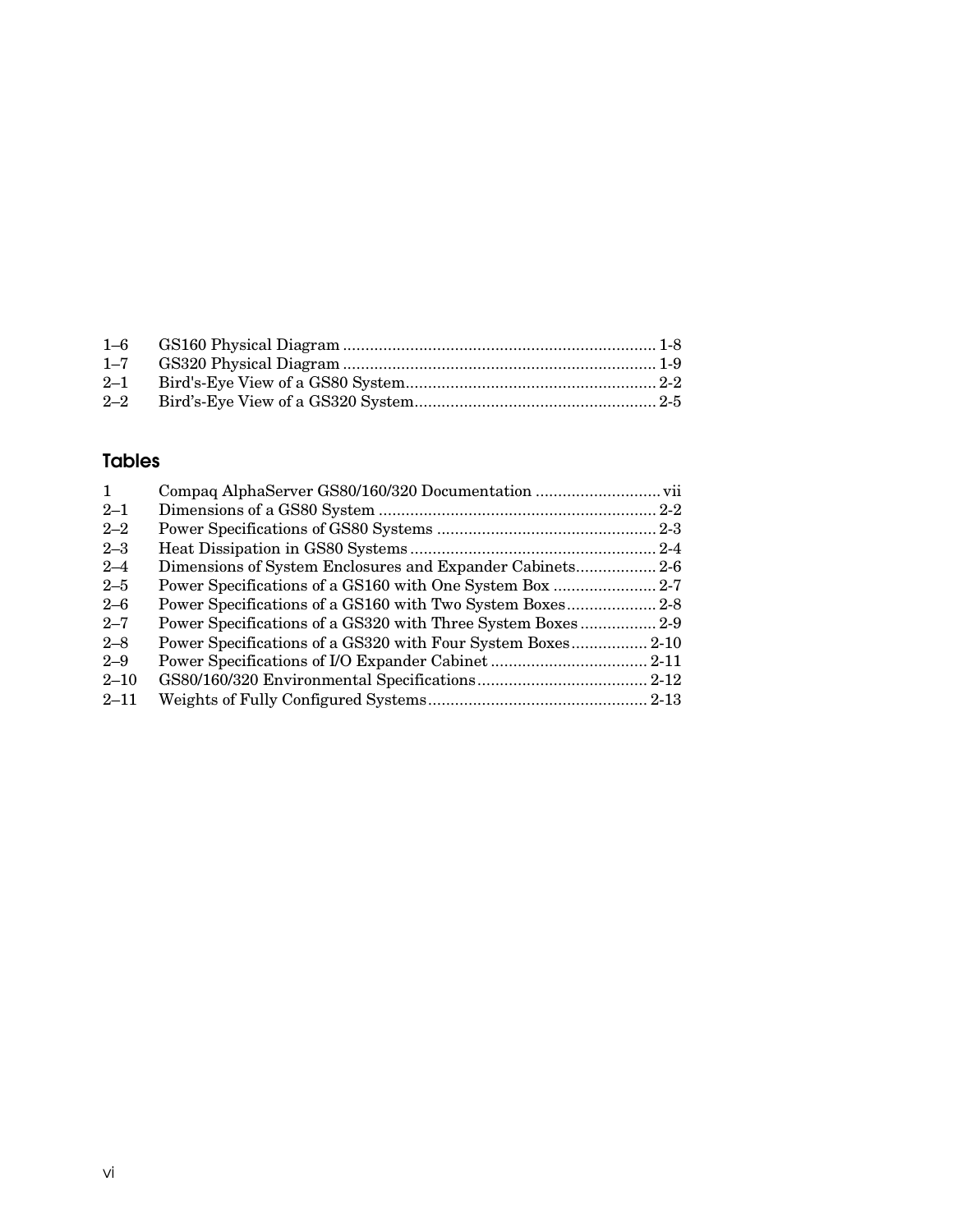| $1 - 7$ |  |
|---------|--|
| $2 - 1$ |  |
| $2 - 2$ |  |

# **Tables**

| Dimensions of System Enclosures and Expander Cabinets 2-6<br>Power Specifications of a GS320 with Three System Boxes 2-9 |
|--------------------------------------------------------------------------------------------------------------------------|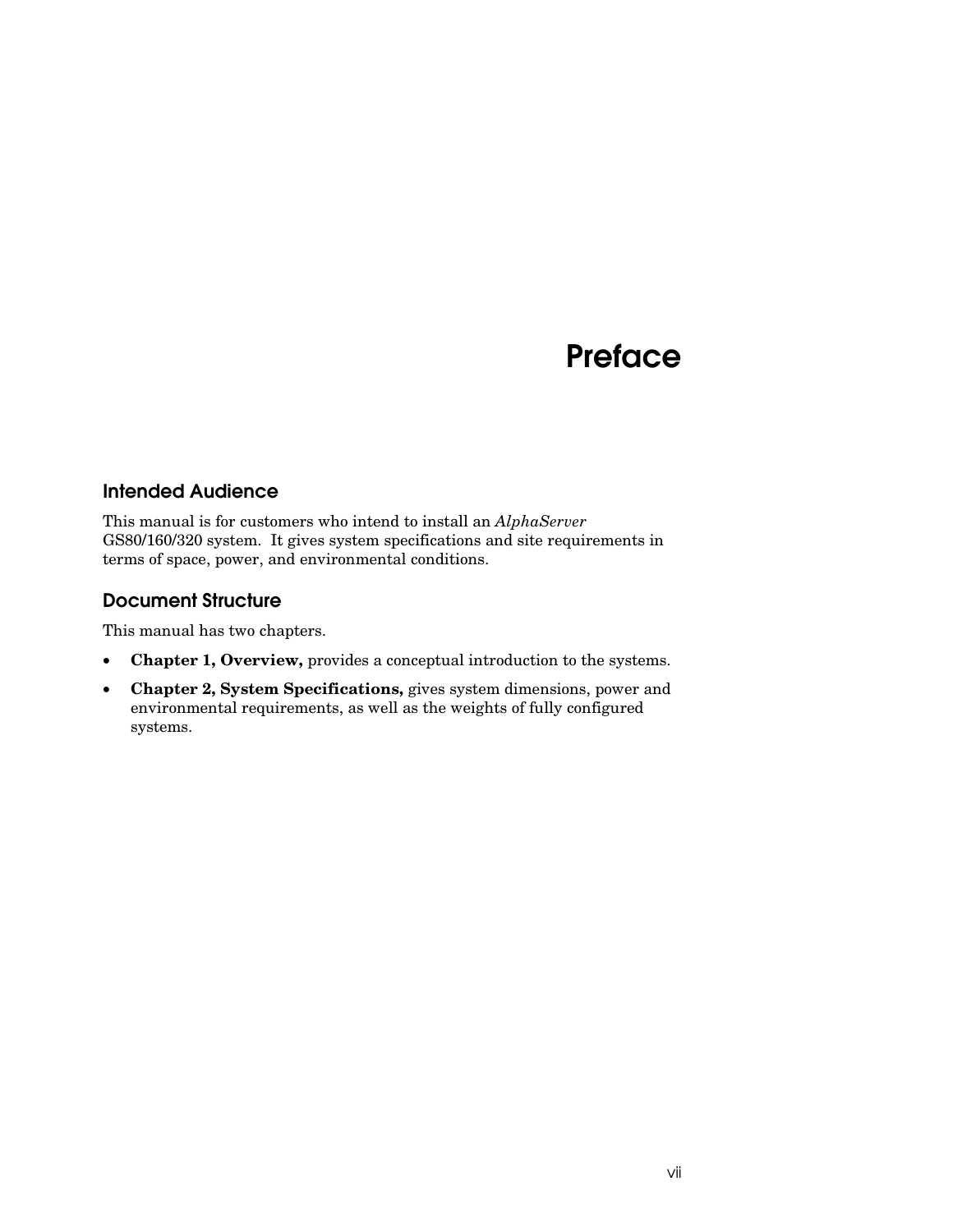# **Preface**

### **Intended Audience**

This manual is for customers who intend to install an *AlphaServer* GS80/160/320 system. It gives system specifications and site requirements in terms of space, power, and environmental conditions.

# **Document Structure**

This manual has two chapters.

- **Chapter 1, Overview,** provides a conceptual introduction to the systems.
- **Chapter 2, System Specifications,** gives system dimensions, power and environmental requirements, as well as the weights of fully configured systems.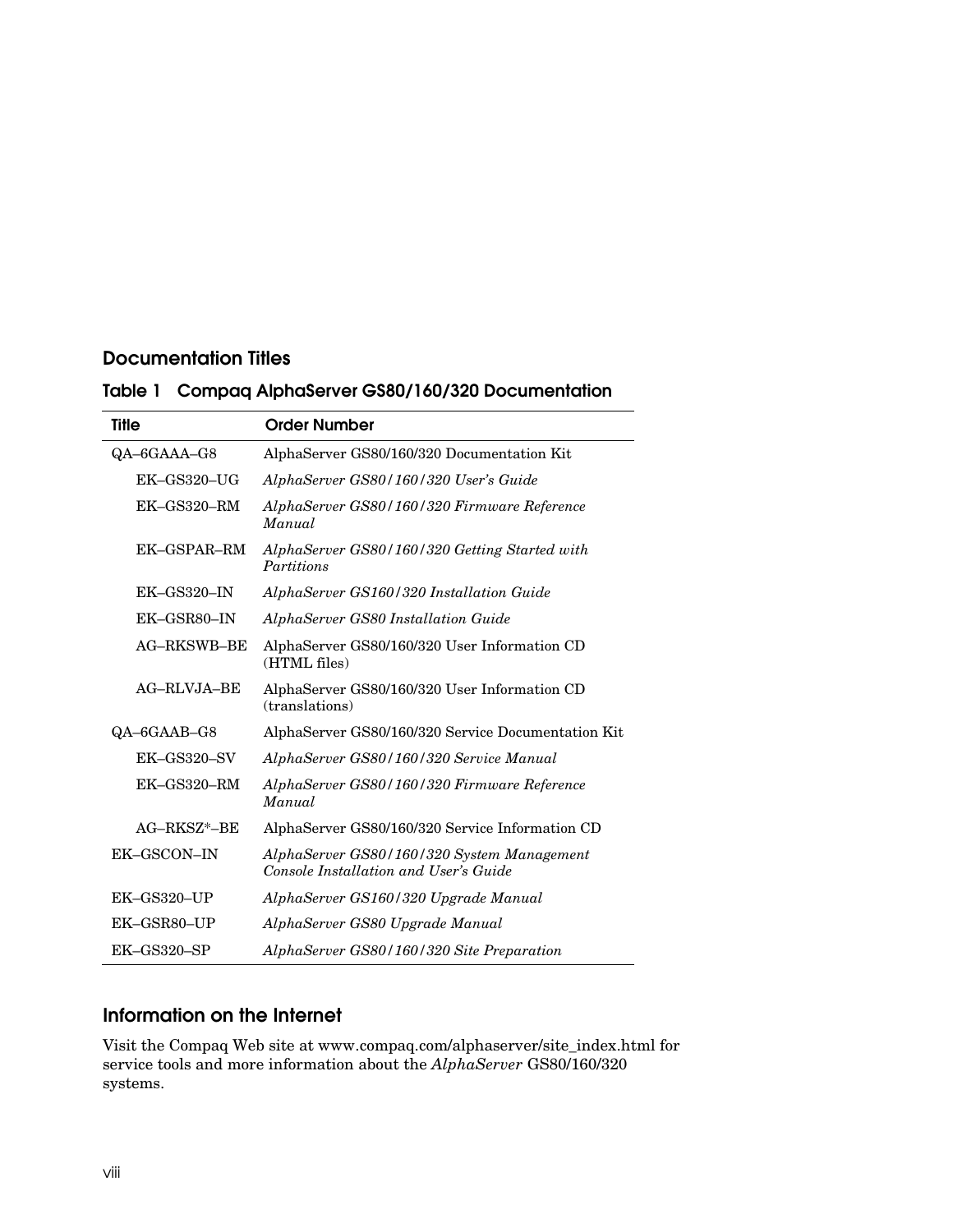### **Documentation Titles**

|  |  |  |  | Table 1 Compaq AlphaServer GS80/160/320 Documentation |
|--|--|--|--|-------------------------------------------------------|
|--|--|--|--|-------------------------------------------------------|

| <b>Title</b>                | <b>Order Number</b>                                                                 |
|-----------------------------|-------------------------------------------------------------------------------------|
| QA-6GAAA-G8                 | AlphaServer GS80/160/320 Documentation Kit                                          |
| EK-GS320-UG                 | AlphaServer GS80/160/320 User's Guide                                               |
| $EK-GS320-RM$               | AlphaServer GS80/160/320 Firmware Reference<br>Manual                               |
| EK-GSPAR-RM                 | AlphaServer GS80/160/320 Getting Started with<br>Partitions                         |
| $EK-\text{GS}320-\text{IN}$ | AlphaServer GS160/320 Installation Guide                                            |
| EK-GSR80-IN                 | AlphaServer GS80 Installation Guide                                                 |
| <b>AG-RKSWB-BE</b>          | AlphaServer GS80/160/320 User Information CD<br>(HTML files)                        |
| AG-RLVJA-BE                 | AlphaServer GS80/160/320 User Information CD<br>(translations)                      |
| QA-6GAAB-G8                 | AlphaServer GS80/160/320 Service Documentation Kit                                  |
| EK-GS320-SV                 | AlphaServer GS80/160/320 Service Manual                                             |
| $EK-GS320-RM$               | AlphaServer GS80/160/320 Firmware Reference<br>Manual                               |
| $AG-RKSZ^*$ -BE             | AlphaServer GS80/160/320 Service Information CD                                     |
| EK-GSCON-IN                 | AlphaServer GS80/160/320 System Management<br>Console Installation and User's Guide |
| EK-GS320-UP                 | AlphaServer GS160/320 Upgrade Manual                                                |
| EK-GSR80-UP                 | AlphaServer GS80 Upgrade Manual                                                     |
| $EK-GS320-SP$               | AlphaServer GS80/160/320 Site Preparation                                           |

## **Information on the Internet**

Visit the Compaq Web site at www.compaq.com/alphaserver/site\_index.html for service tools and more information about the *AlphaServer* GS80/160/320 systems.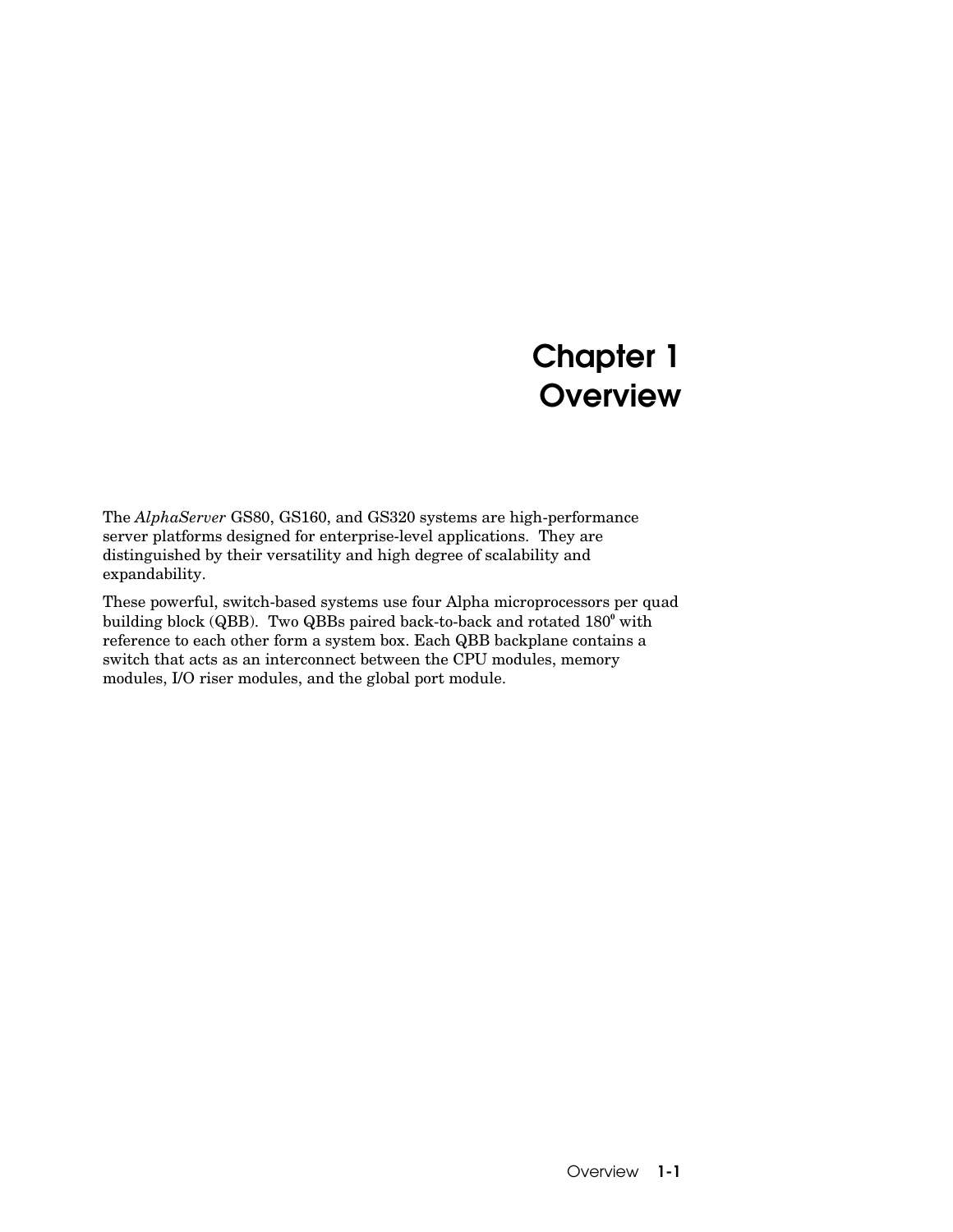# **Chapter 1 Overview**

The *AlphaServer* GS80, GS160, and GS320 systems are high-performance server platforms designed for enterprise-level applications. They are distinguished by their versatility and high degree of scalability and expandability.

These powerful, switch-based systems use four Alpha microprocessors per quad building block (QBB). Two QBBs paired back-to-back and rotated 180**<sup>0</sup>** with reference to each other form a system box. Each QBB backplane contains a switch that acts as an interconnect between the CPU modules, memory modules, I/O riser modules, and the global port module.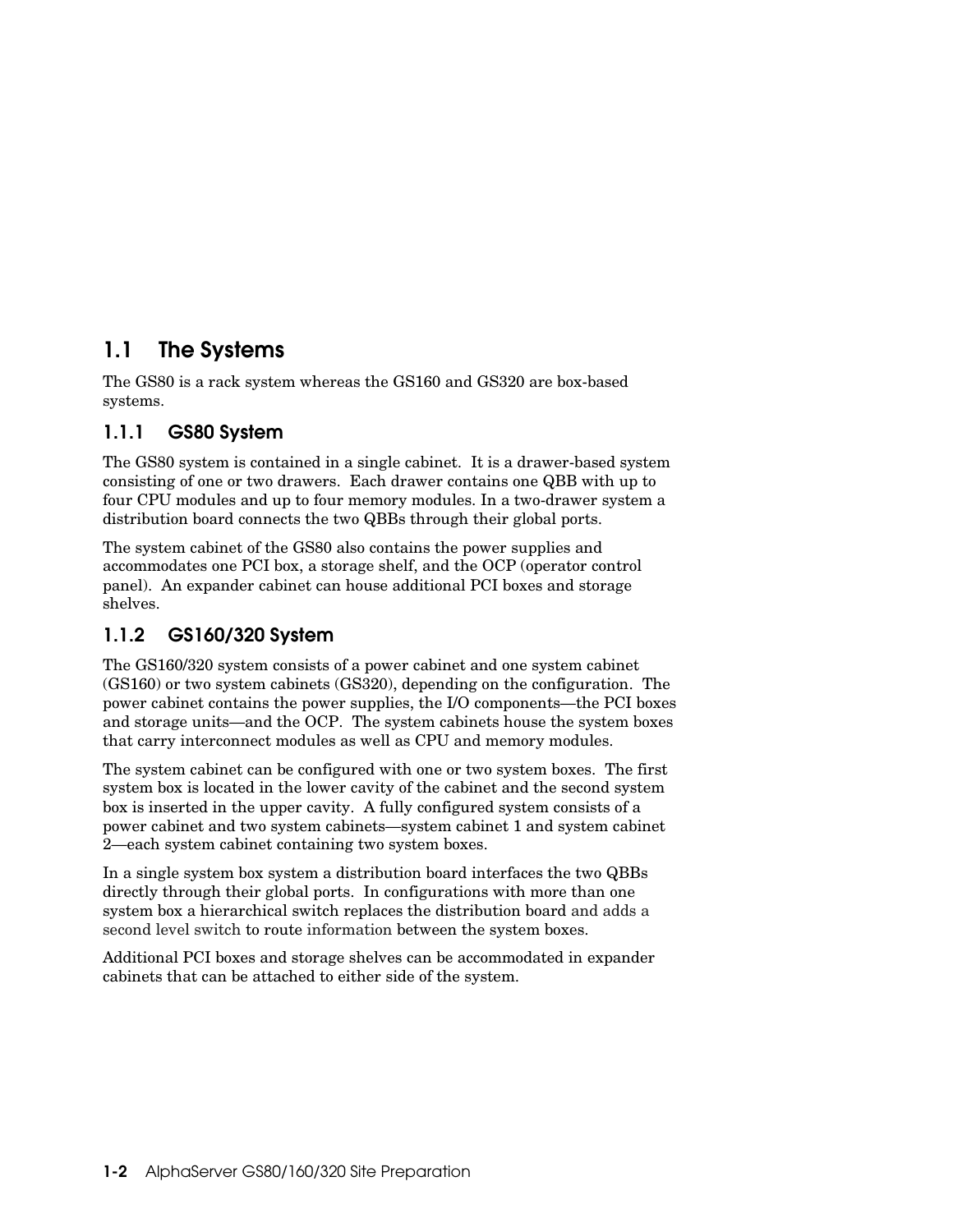# **1.1 The Systems**

The GS80 is a rack system whereas the GS160 and GS320 are box-based systems.

# **1.1.1 GS80 System**

The GS80 system is contained in a single cabinet. It is a drawer-based system consisting of one or two drawers. Each drawer contains one QBB with up to four CPU modules and up to four memory modules. In a two-drawer system a distribution board connects the two QBBs through their global ports.

The system cabinet of the GS80 also contains the power supplies and accommodates one PCI box, a storage shelf, and the OCP (operator control panel). An expander cabinet can house additional PCI boxes and storage shelves.

# **1.1.2 GS160/320 System**

The GS160/320 system consists of a power cabinet and one system cabinet (GS160) or two system cabinets (GS320), depending on the configuration. The power cabinet contains the power supplies, the I/O components—the PCI boxes and storage units—and the OCP. The system cabinets house the system boxes that carry interconnect modules as well as CPU and memory modules.

The system cabinet can be configured with one or two system boxes. The first system box is located in the lower cavity of the cabinet and the second system box is inserted in the upper cavity. A fully configured system consists of a power cabinet and two system cabinets—system cabinet 1 and system cabinet 2—each system cabinet containing two system boxes.

In a single system box system a distribution board interfaces the two QBBs directly through their global ports. In configurations with more than one system box a hierarchical switch replaces the distribution board and adds a second level switch to route information between the system boxes.

Additional PCI boxes and storage shelves can be accommodated in expander cabinets that can be attached to either side of the system.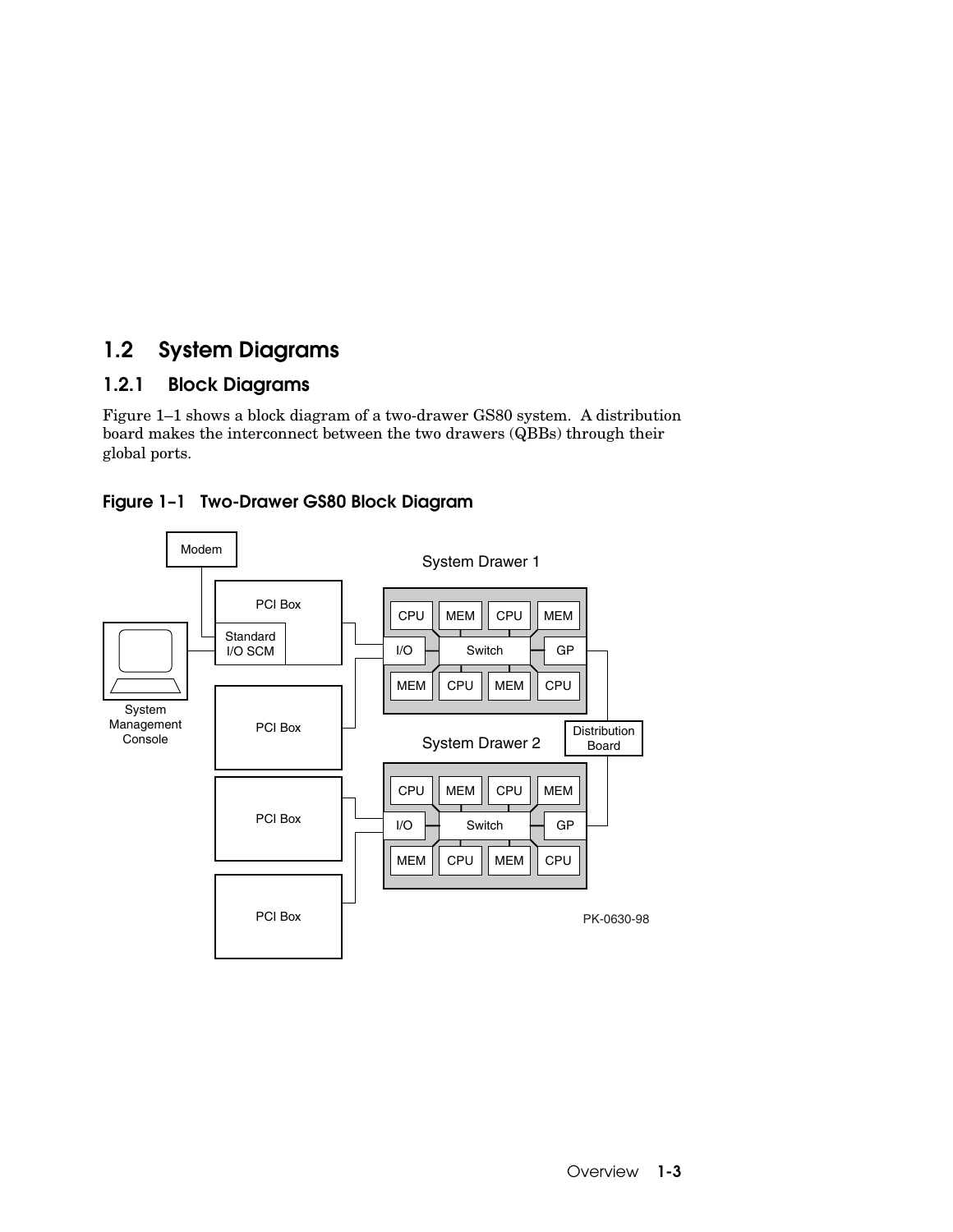# **1.2 System Diagrams**

# **1.2.1 Block Diagrams**

Figure 1–1 shows a block diagram of a two-drawer GS80 system. A distribution board makes the interconnect between the two drawers (QBBs) through their global ports.



**Figure 1–1 Two-Drawer GS80 Block Diagram**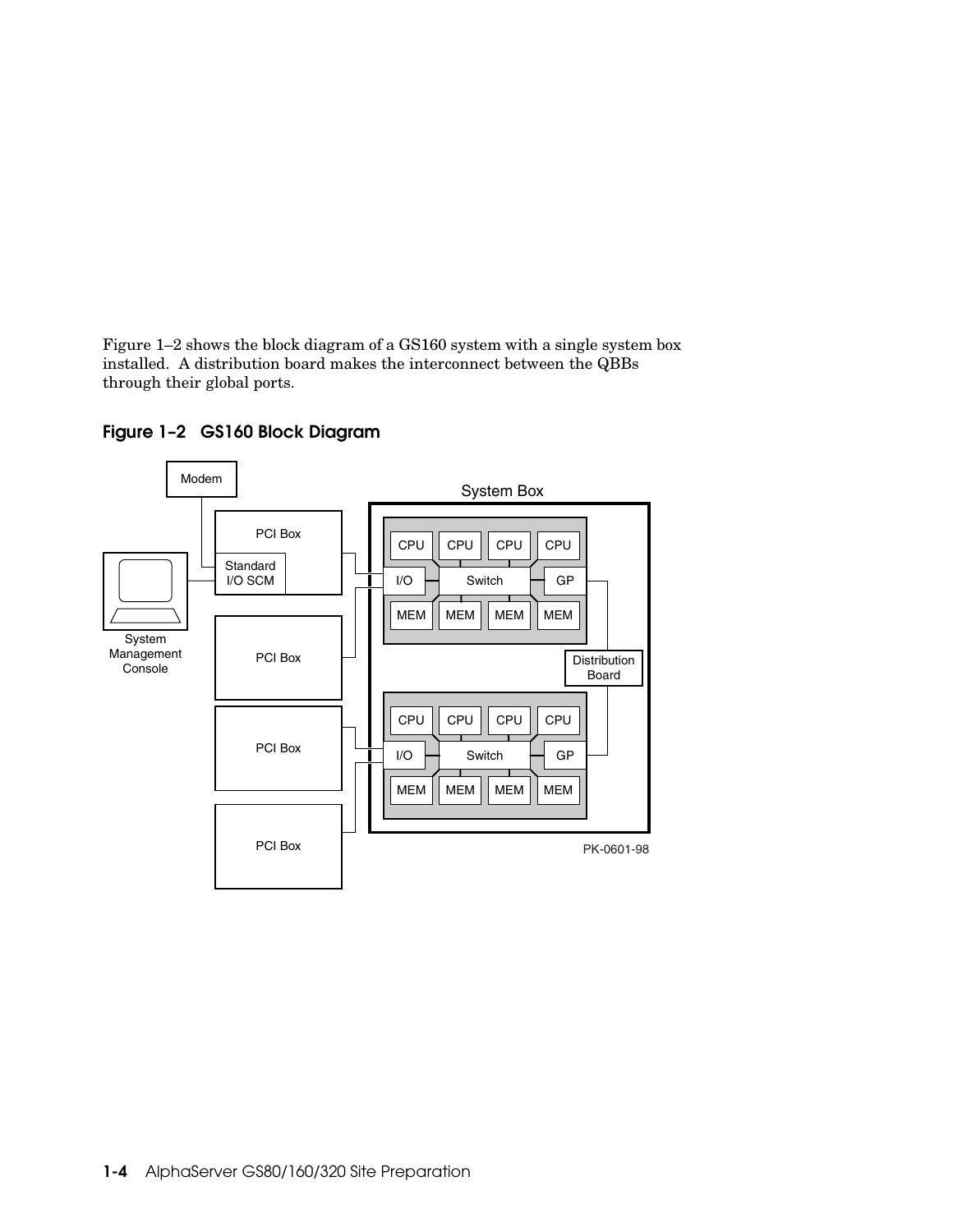Figure 1–2 shows the block diagram of a GS160 system with a single system box installed. A distribution board makes the interconnect between the QBBs through their global ports.



**Figure 1–2 GS160 Block Diagram**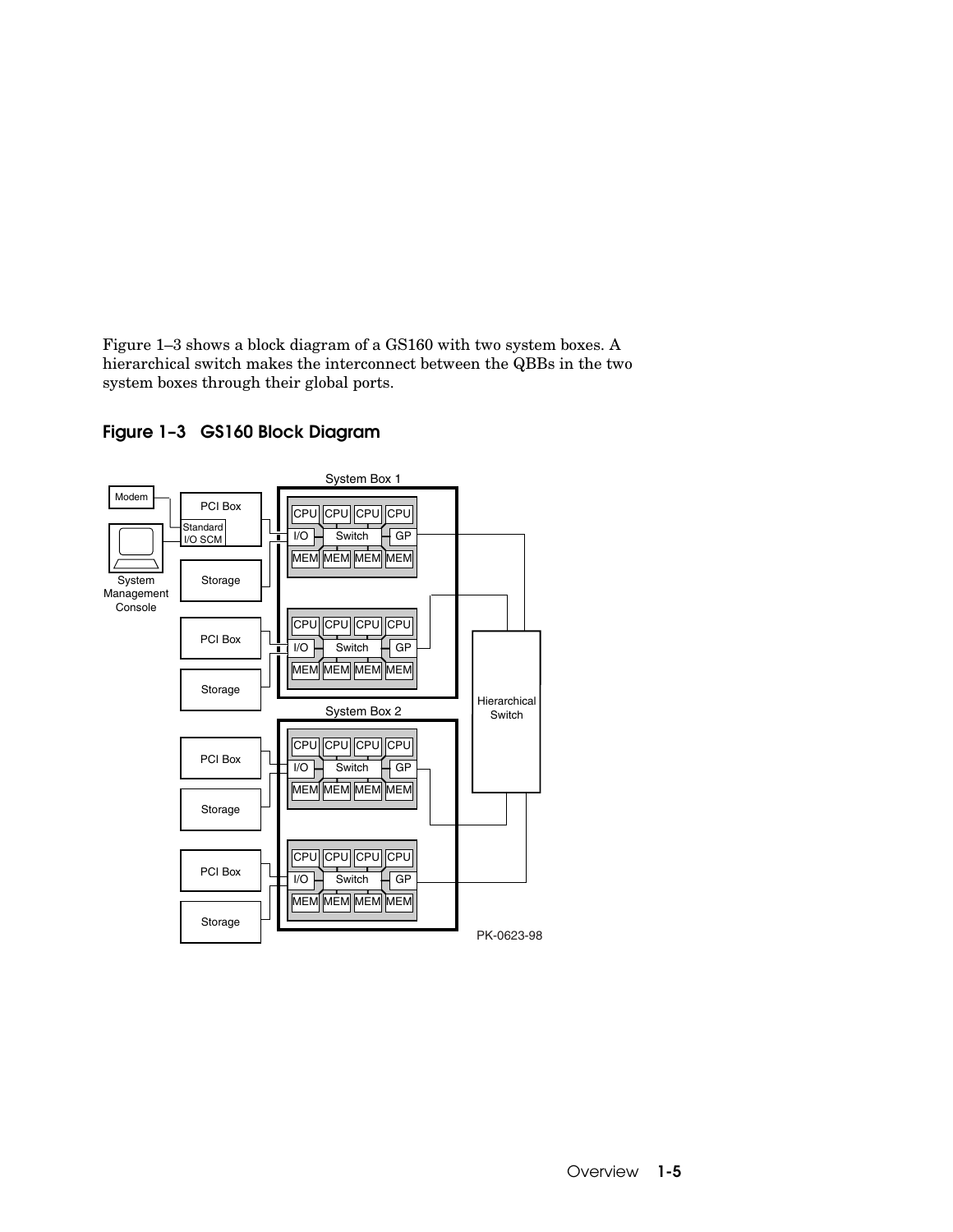Figure 1–3 shows a block diagram of a GS160 with two system boxes. A hierarchical switch makes the interconnect between the QBBs in the two system boxes through their global ports.



**Figure 1–3 GS160 Block Diagram**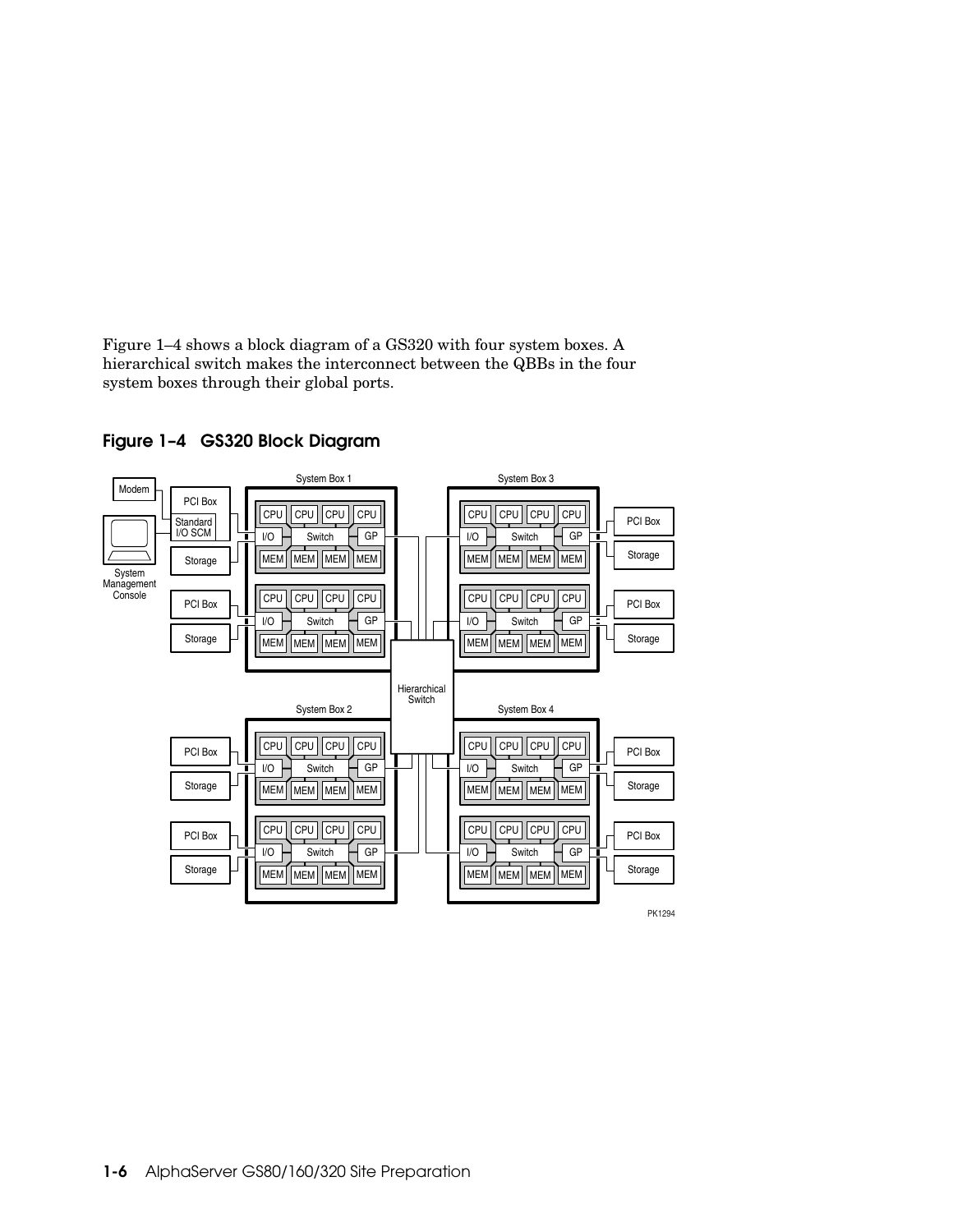Figure 1–4 shows a block diagram of a GS320 with four system boxes. A hierarchical switch makes the interconnect between the QBBs in the four system boxes through their global ports.



**Figure 1–4 GS320 Block Diagram**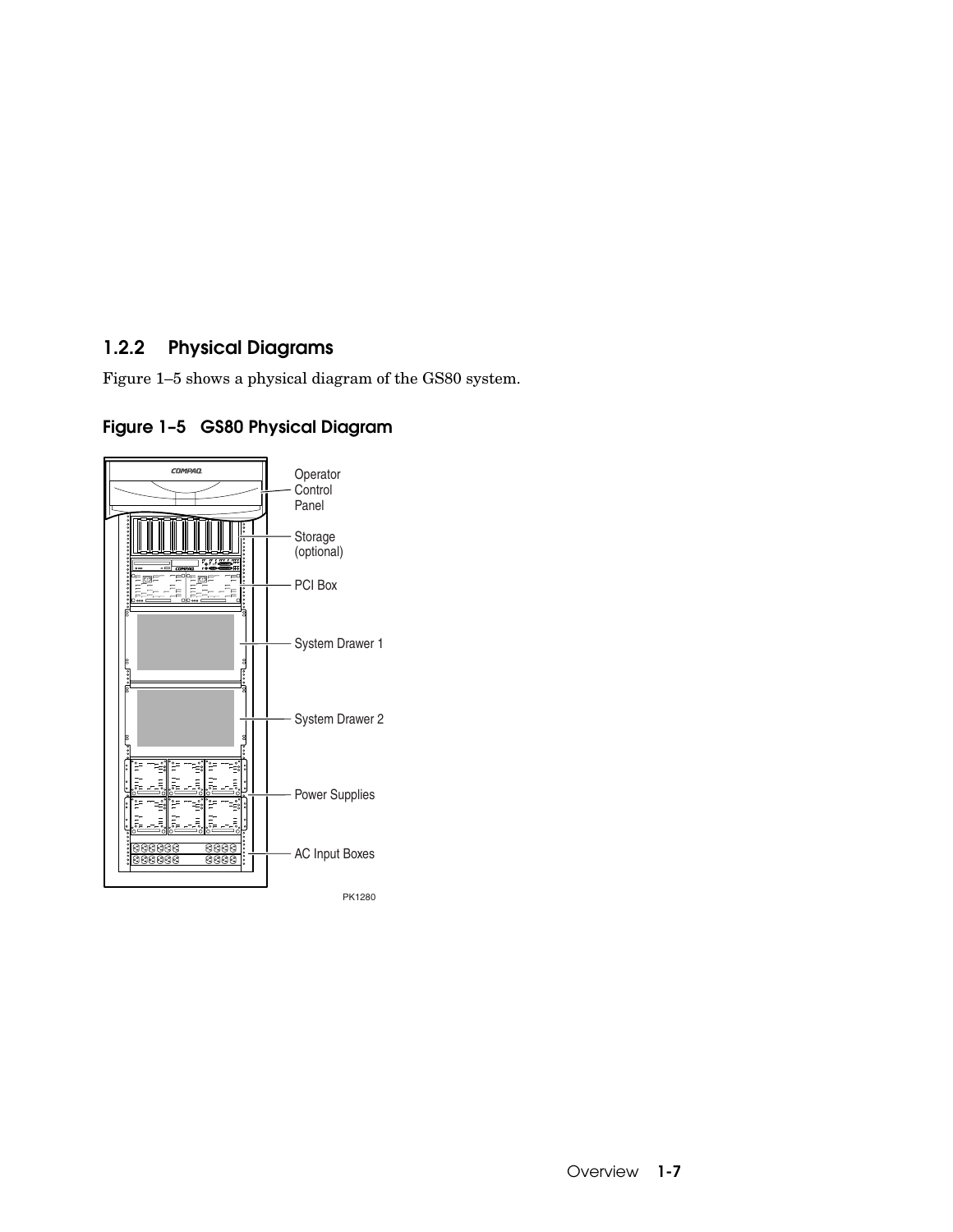# **1.2.2 Physical Diagrams**

Figure 1–5 shows a physical diagram of the GS80 system.

# **Figure 1–5 GS80 Physical Diagram**

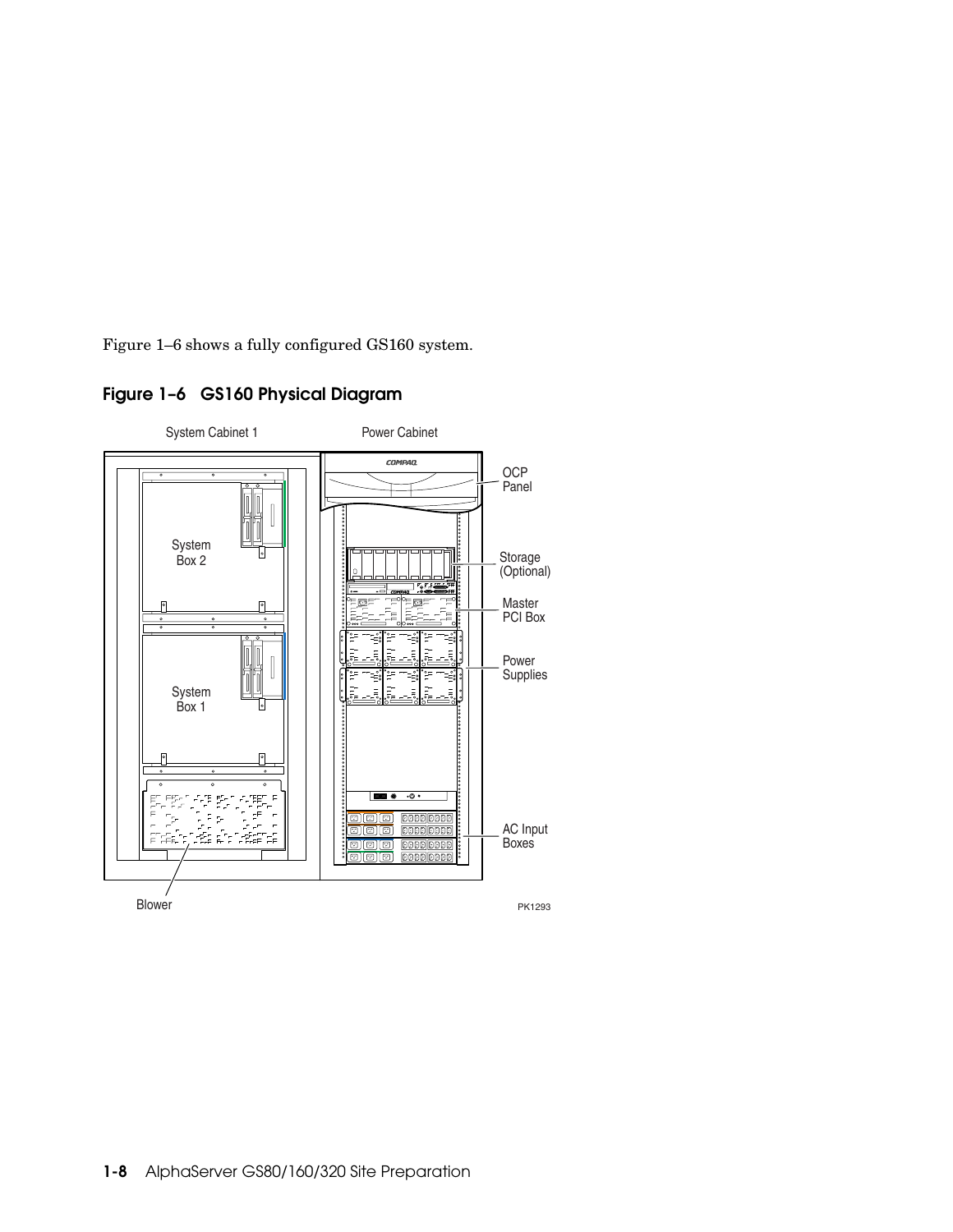Figure 1–6 shows a fully configured GS160 system.



### **Figure 1–6 GS160 Physical Diagram**

**1-8** AlphaServer GS80/160/320 Site Preparation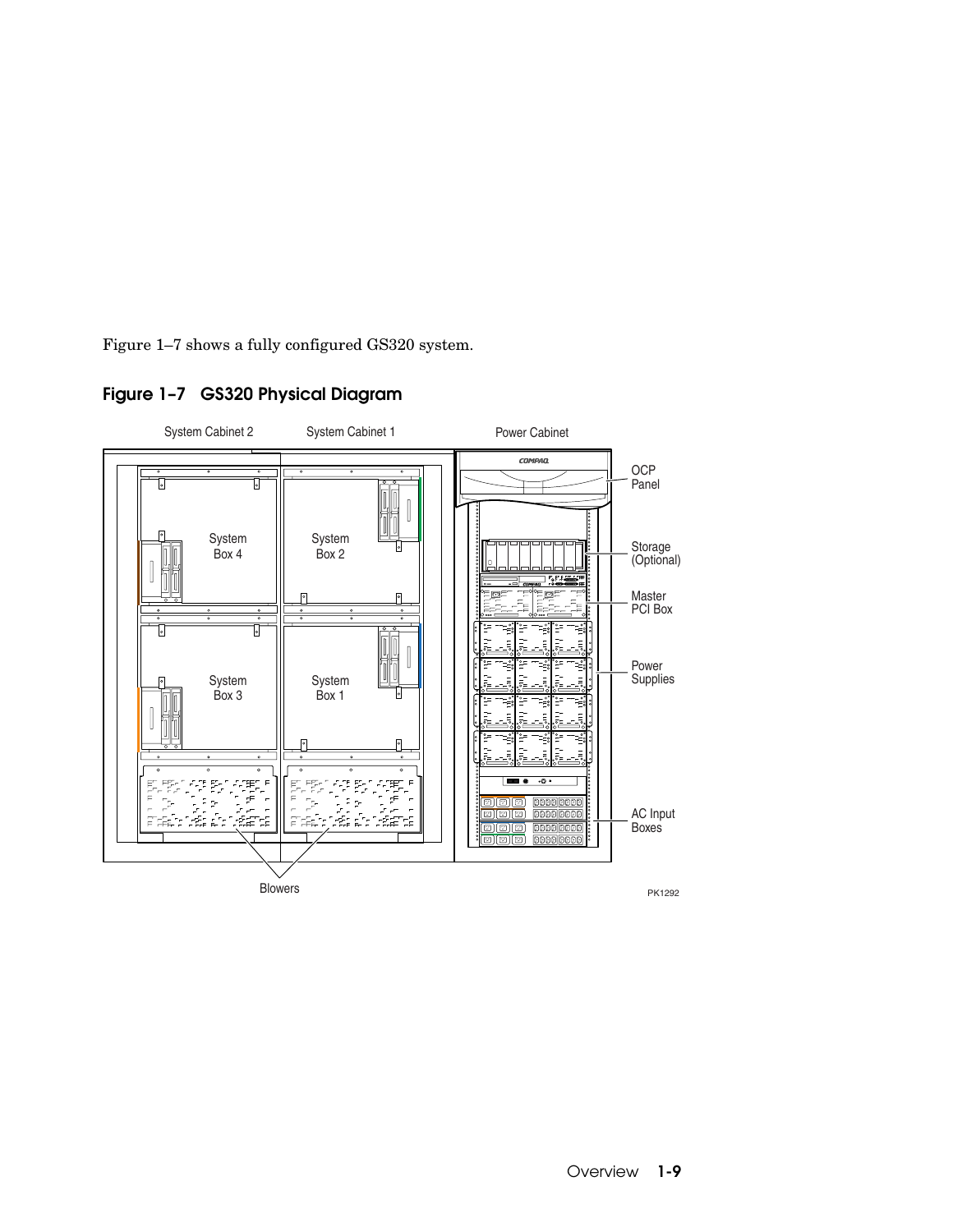Figure 1–7 shows a fully configured GS320 system.



### **Figure 1–7 GS320 Physical Diagram**

PK1292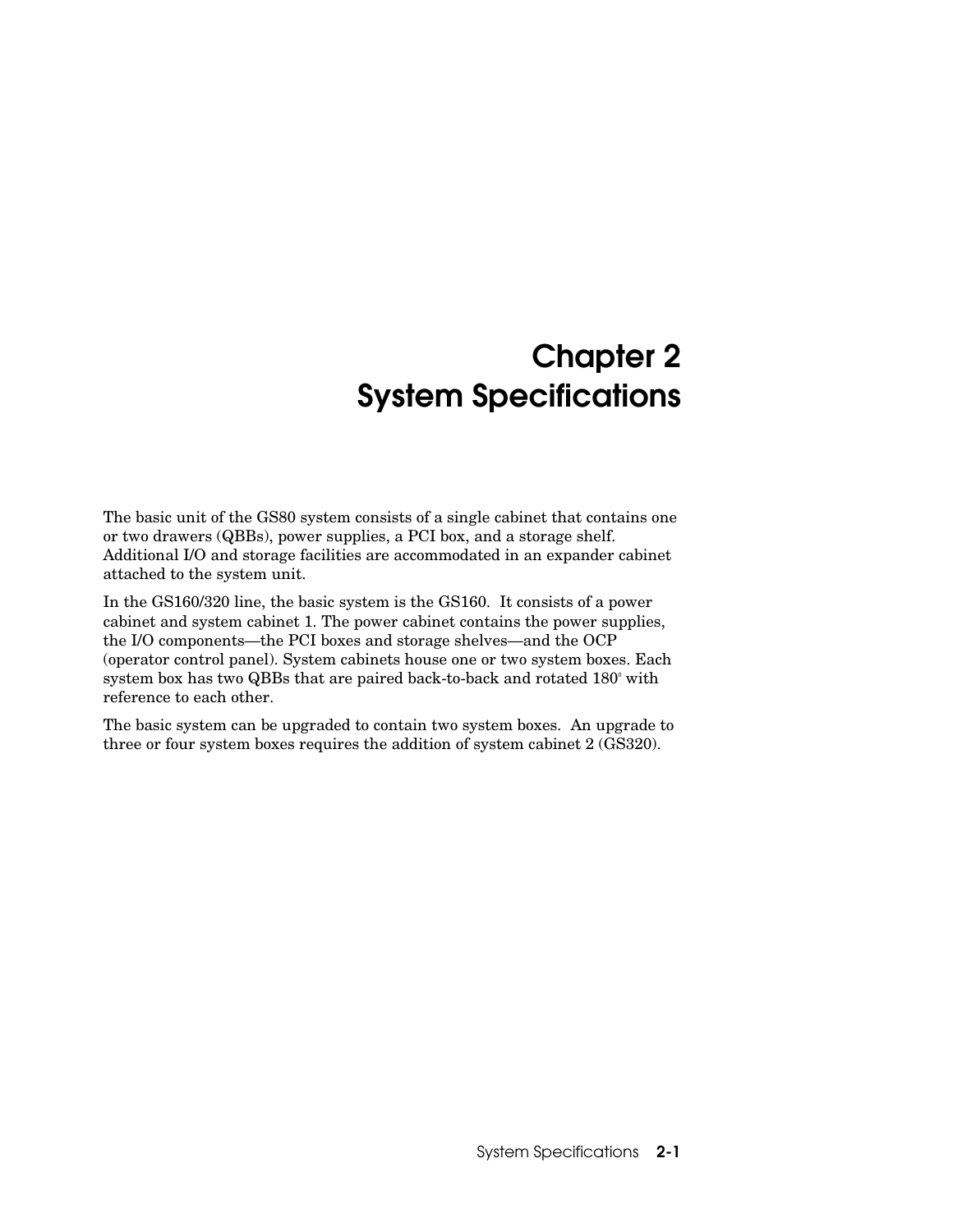# **Chapter 2 System Specifications**

The basic unit of the GS80 system consists of a single cabinet that contains one or two drawers (QBBs), power supplies, a PCI box, and a storage shelf. Additional I/O and storage facilities are accommodated in an expander cabinet attached to the system unit.

In the GS160/320 line, the basic system is the GS160. It consists of a power cabinet and system cabinet 1. The power cabinet contains the power supplies, the I/O components—the PCI boxes and storage shelves—and the OCP (operator control panel). System cabinets house one or two system boxes. Each system box has two QBBs that are paired back-to-back and rotated  $180^\circ$  with reference to each other.

The basic system can be upgraded to contain two system boxes. An upgrade to three or four system boxes requires the addition of system cabinet 2 (GS320).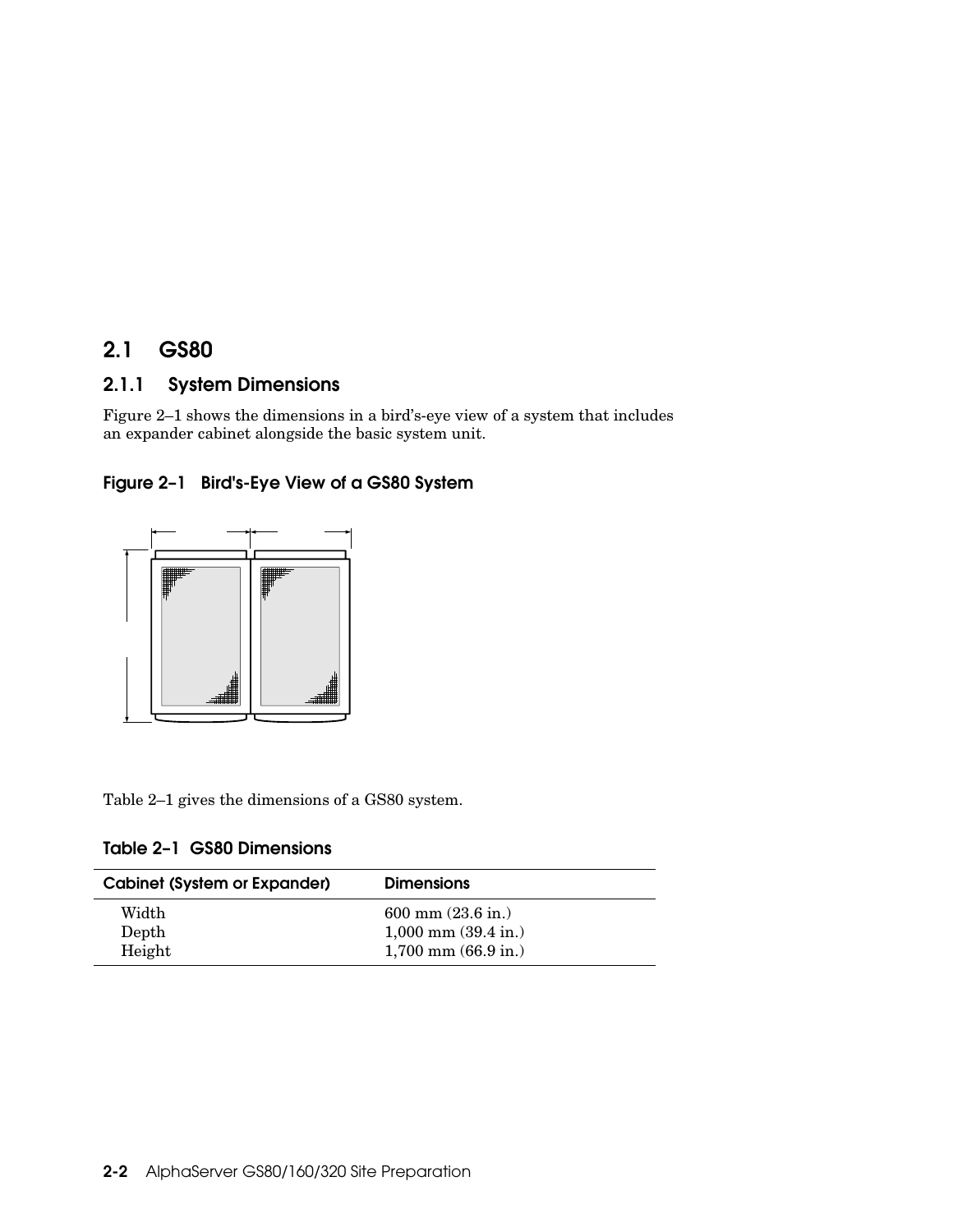# **2.1 GS80**

## **2.1.1 System Dimensions**

Figure 2–1 shows the dimensions in a bird's-eye view of a system that includes an expander cabinet alongside the basic system unit.



**Figure 2–1 Bird's-Eye View of a GS80 System**

Table 2–1 gives the dimensions of a GS80 system.

|  |  |  | Table 2-1 GS80 Dimensions |
|--|--|--|---------------------------|
|--|--|--|---------------------------|

| <b>Cabinet (System or Expander)</b> | <b>Dimensions</b>               |
|-------------------------------------|---------------------------------|
| Width                               | $600$ mm $(23.6$ in.)           |
| Depth                               | $1,000$ mm $(39.4 \text{ in.})$ |
| Height                              | $1,700$ mm $(66.9$ in.)         |